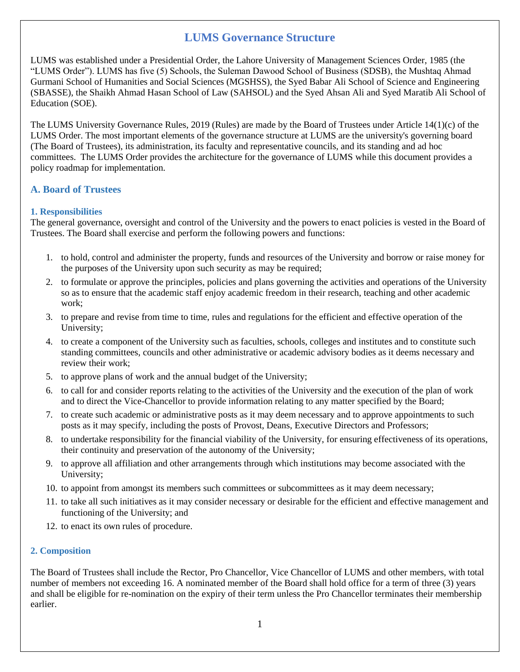# **LUMS Governance Structure**

LUMS was established under a Presidential Order, the Lahore University of Management Sciences Order, 1985 (the "LUMS Order"). LUMS has five (5) Schools, the Suleman Dawood School of Business (SDSB), the Mushtaq Ahmad Gurmani School of Humanities and Social Sciences (MGSHSS), the Syed Babar Ali School of Science and Engineering (SBASSE), the Shaikh Ahmad Hasan School of Law (SAHSOL) and the Syed Ahsan Ali and Syed Maratib Ali School of Education (SOE).

The LUMS University Governance Rules, 2019 (Rules) are made by the Board of Trustees under Article 14(1)(c) of the LUMS Order. The most important elements of the governance structure at LUMS are the university's governing board (The Board of Trustees), its administration, its faculty and representative councils, and its standing and ad hoc committees. The LUMS Order provides the architecture for the governance of LUMS while this document provides a policy roadmap for implementation.

## **A. Board of Trustees**

### **1. Responsibilities**

The general governance, oversight and control of the University and the powers to enact policies is vested in the Board of Trustees. The Board shall exercise and perform the following powers and functions:

- 1. to hold, control and administer the property, funds and resources of the University and borrow or raise money for the purposes of the University upon such security as may be required;
- 2. to formulate or approve the principles, policies and plans governing the activities and operations of the University so as to ensure that the academic staff enjoy academic freedom in their research, teaching and other academic work;
- 3. to prepare and revise from time to time, rules and regulations for the efficient and effective operation of the University;
- 4. to create a component of the University such as faculties, schools, colleges and institutes and to constitute such standing committees, councils and other administrative or academic advisory bodies as it deems necessary and review their work;
- 5. to approve plans of work and the annual budget of the University;
- 6. to call for and consider reports relating to the activities of the University and the execution of the plan of work and to direct the Vice-Chancellor to provide information relating to any matter specified by the Board;
- 7. to create such academic or administrative posts as it may deem necessary and to approve appointments to such posts as it may specify, including the posts of Provost, Deans, Executive Directors and Professors;
- 8. to undertake responsibility for the financial viability of the University, for ensuring effectiveness of its operations, their continuity and preservation of the autonomy of the University;
- 9. to approve all affiliation and other arrangements through which institutions may become associated with the University;
- 10. to appoint from amongst its members such committees or subcommittees as it may deem necessary;
- 11. to take all such initiatives as it may consider necessary or desirable for the efficient and effective management and functioning of the University; and
- 12. to enact its own rules of procedure.

### **2. Composition**

The Board of Trustees shall include the Rector, Pro Chancellor, Vice Chancellor of LUMS and other members, with total number of members not exceeding 16. A nominated member of the Board shall hold office for a term of three (3) years and shall be eligible for re-nomination on the expiry of their term unless the Pro Chancellor terminates their membership earlier.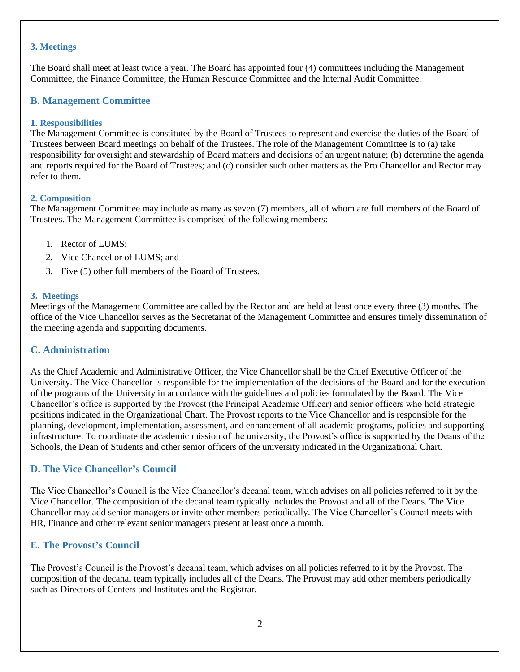#### **3. Meetings**

The Board shall meet at least twice a year. The Board has appointed four (4) committees including the Management Committee, the Finance Committee, the Human Resource Committee and the Internal Audit Committee.

### **B. Management Committee**

#### **1. Responsibilities**

The Management Committee is constituted by the Board of Trustees to represent and exercise the duties of the Board of Trustees between Board meetings on behalf of the Trustees. The role of the Management Committee is to (a) take responsibility for oversight and stewardship of Board matters and decisions of an urgent nature; (b) determine the agenda and reports required for the Board of Trustees; and (c) consider such other matters as the Pro Chancellor and Rector may refer to them.

#### **2. Composition**

The Management Committee may include as many as seven (7) members, all of whom are full members of the Board of Trustees. The Management Committee is comprised of the following members:

- 1. Rector of LUMS;
- 2. Vice Chancellor of LUMS; and
- 3. Five (5) other full members of the Board of Trustees.

#### **3. Meetings**

Meetings of the Management Committee are called by the Rector and are held at least once every three (3) months. The office of the Vice Chancellor serves as the Secretariat of the Management Committee and ensures timely dissemination of the meeting agenda and supporting documents.

### **C. Administration**

As the Chief Academic and Administrative Officer, the Vice Chancellor shall be the Chief Executive Officer of the University. The Vice Chancellor is responsible for the implementation of the decisions of the Board and for the execution of the programs of the University in accordance with the guidelines and policies formulated by the Board. The Vice Chancellor's office is supported by the Provost (the Principal Academic Officer) and senior officers who hold strategic positions indicated in the Organizational Chart. The Provost reports to the Vice Chancellor and is responsible for the planning, development, implementation, assessment, and enhancement of all academic programs, policies and supporting infrastructure. To coordinate the academic mission of the university, the Provost's office is supported by the Deans of the Schools, the Dean of Students and other senior officers of the university indicated in the Organizational Chart.

## **D. The Vice Chancellor's Council**

The Vice Chancellor's Council is the Vice Chancellor's decanal team, which advises on all policies referred to it by the Vice Chancellor. The composition of the decanal team typically includes the Provost and all of the Deans. The Vice Chancellor may add senior managers or invite other members periodically. The Vice Chancellor's Council meets with HR, Finance and other relevant senior managers present at least once a month.

## **E. The Provost's Council**

The Provost's Council is the Provost's decanal team, which advises on all policies referred to it by the Provost. The composition of the decanal team typically includes all of the Deans. The Provost may add other members periodically such as Directors of Centers and Institutes and the Registrar.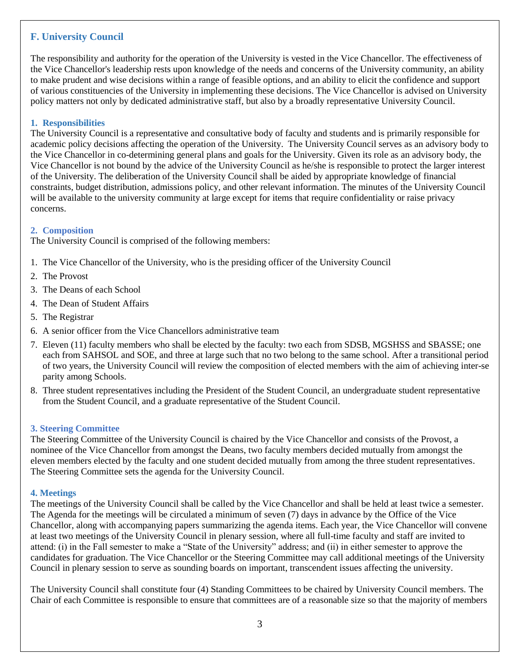## **F. University Council**

The responsibility and authority for the operation of the University is vested in the Vice Chancellor. The effectiveness of the Vice Chancellor's leadership rests upon knowledge of the needs and concerns of the University community, an ability to make prudent and wise decisions within a range of feasible options, and an ability to elicit the confidence and support of various constituencies of the University in implementing these decisions. The Vice Chancellor is advised on University policy matters not only by dedicated administrative staff, but also by a broadly representative University Council.

#### **1. Responsibilities**

The University Council is a representative and consultative body of faculty and students and is primarily responsible for academic policy decisions affecting the operation of the University. The University Council serves as an advisory body to the Vice Chancellor in co-determining general plans and goals for the University. Given its role as an advisory body, the Vice Chancellor is not bound by the advice of the University Council as he/she is responsible to protect the larger interest of the University. The deliberation of the University Council shall be aided by appropriate knowledge of financial constraints, budget distribution, admissions policy, and other relevant information. The minutes of the University Council will be available to the university community at large except for items that require confidentiality or raise privacy concerns.

### **2. Composition**

The University Council is comprised of the following members:

- 1. The Vice Chancellor of the University, who is the presiding officer of the University Council
- 2. The Provost
- 3. The Deans of each School
- 4. The Dean of Student Affairs
- 5. The Registrar
- 6. A senior officer from the Vice Chancellors administrative team
- 7. Eleven (11) faculty members who shall be elected by the faculty: two each from SDSB, MGSHSS and SBASSE; one each from SAHSOL and SOE, and three at large such that no two belong to the same school. After a transitional period of two years, the University Council will review the composition of elected members with the aim of achieving inter-se parity among Schools.
- 8. Three student representatives including the President of the Student Council, an undergraduate student representative from the Student Council, and a graduate representative of the Student Council.

#### **3. Steering Committee**

The Steering Committee of the University Council is chaired by the Vice Chancellor and consists of the Provost, a nominee of the Vice Chancellor from amongst the Deans, two faculty members decided mutually from amongst the eleven members elected by the faculty and one student decided mutually from among the three student representatives. The Steering Committee sets the agenda for the University Council.

#### **4. Meetings**

The meetings of the University Council shall be called by the Vice Chancellor and shall be held at least twice a semester. The Agenda for the meetings will be circulated a minimum of seven (7) days in advance by the Office of the Vice Chancellor, along with accompanying papers summarizing the agenda items. Each year, the Vice Chancellor will convene at least two meetings of the University Council in plenary session, where all full-time faculty and staff are invited to attend: (i) in the Fall semester to make a "State of the University" address; and (ii) in either semester to approve the candidates for graduation. The Vice Chancellor or the Steering Committee may call additional meetings of the University Council in plenary session to serve as sounding boards on important, transcendent issues affecting the university.

The University Council shall constitute four (4) Standing Committees to be chaired by University Council members. The Chair of each Committee is responsible to ensure that committees are of a reasonable size so that the majority of members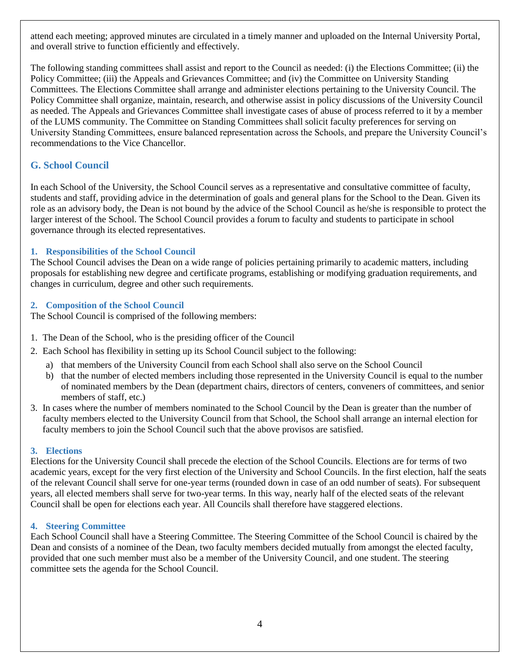attend each meeting; approved minutes are circulated in a timely manner and uploaded on the Internal University Portal, and overall strive to function efficiently and effectively.

The following standing committees shall assist and report to the Council as needed: (i) the Elections Committee; (ii) the Policy Committee; (iii) the Appeals and Grievances Committee; and (iv) the Committee on University Standing Committees. The Elections Committee shall arrange and administer elections pertaining to the University Council. The Policy Committee shall organize, maintain, research, and otherwise assist in policy discussions of the University Council as needed. The Appeals and Grievances Committee shall investigate cases of abuse of process referred to it by a member of the LUMS community. The Committee on Standing Committees shall solicit faculty preferences for serving on University Standing Committees, ensure balanced representation across the Schools, and prepare the University Council's recommendations to the Vice Chancellor.

## **G. School Council**

In each School of the University, the School Council serves as a representative and consultative committee of faculty, students and staff, providing advice in the determination of goals and general plans for the School to the Dean. Given its role as an advisory body, the Dean is not bound by the advice of the School Council as he/she is responsible to protect the larger interest of the School. The School Council provides a forum to faculty and students to participate in school governance through its elected representatives.

### **1. Responsibilities of the School Council**

The School Council advises the Dean on a wide range of policies pertaining primarily to academic matters, including proposals for establishing new degree and certificate programs, establishing or modifying graduation requirements, and changes in curriculum, degree and other such requirements.

### **2. Composition of the School Council**

The School Council is comprised of the following members:

- 1. The Dean of the School, who is the presiding officer of the Council
- 2. Each School has flexibility in setting up its School Council subject to the following:
	- a) that members of the University Council from each School shall also serve on the School Council
	- b) that the number of elected members including those represented in the University Council is equal to the number of nominated members by the Dean (department chairs, directors of centers, conveners of committees, and senior members of staff, etc.)
- 3. In cases where the number of members nominated to the School Council by the Dean is greater than the number of faculty members elected to the University Council from that School, the School shall arrange an internal election for faculty members to join the School Council such that the above provisos are satisfied.

### **3. Elections**

Elections for the University Council shall precede the election of the School Councils. Elections are for terms of two academic years, except for the very first election of the University and School Councils. In the first election, half the seats of the relevant Council shall serve for one-year terms (rounded down in case of an odd number of seats). For subsequent years, all elected members shall serve for two-year terms. In this way, nearly half of the elected seats of the relevant Council shall be open for elections each year. All Councils shall therefore have staggered elections.

### **4. Steering Committee**

Each School Council shall have a Steering Committee. The Steering Committee of the School Council is chaired by the Dean and consists of a nominee of the Dean, two faculty members decided mutually from amongst the elected faculty, provided that one such member must also be a member of the University Council, and one student. The steering committee sets the agenda for the School Council.